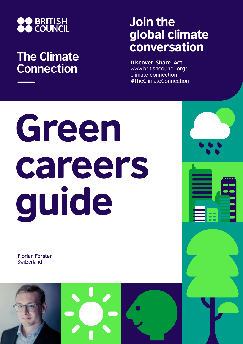

## **The Climate Connection**

## Join the global climate conversation

**Discover. Share. Act.** www.britishcouncil.org/ climate-connection #TheClimateConnection

## Green careers guide

**Florian Forster Switzerland**